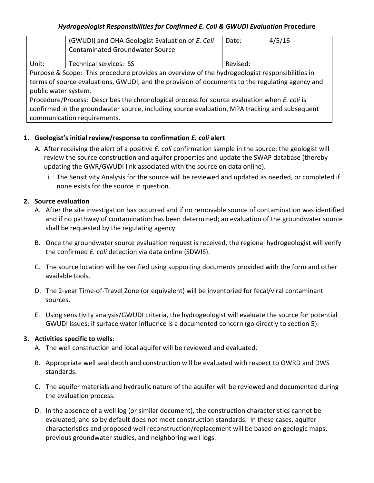#### *Hydrogeologist Responsibilities for Confirmed E. Coli & GWUDI Evaluation* **Procedure**

|                                                                                                                                                                                                   | (GWUDI) and OHA Geologist Evaluation of E. Coli<br><b>Contaminated Groundwater Source</b> | Date:    | 4/5/16 |
|---------------------------------------------------------------------------------------------------------------------------------------------------------------------------------------------------|-------------------------------------------------------------------------------------------|----------|--------|
| Unit:                                                                                                                                                                                             | Technical services: SS                                                                    | Revised: |        |
| Purpose & Scope: This procedure provides an overview of the hydrogeologist responsibilities in<br>terms of source evaluations, GWUDI, and the provision of documents to the regulating agency and |                                                                                           |          |        |
| public water system.                                                                                                                                                                              |                                                                                           |          |        |
| Procedure/Process: Describes the chronological process for source evaluation when E. coli is                                                                                                      |                                                                                           |          |        |
| confirmed in the groundwater source, including source evaluation, MPA tracking and subsequent                                                                                                     |                                                                                           |          |        |
| communication requirements.                                                                                                                                                                       |                                                                                           |          |        |

### **1. Geologist's initial review/response to confirmation** *E. coli* **alert**

- A. After receiving the alert of a positive *E. coli* confirmation sample in the source; the geologist will review the source construction and aquifer properties and update the SWAP database (thereby updating the GWR/GWUDI link associated with the source on data online).
	- i. The Sensitivity Analysis for the source will be reviewed and updated as needed, or completed if none exists for the source in question.

# **2. Source evaluation**

- A. After the site investigation has occurred and if no removable source of contamination was identified and if no pathway of contamination has been determined; an evaluation of the groundwater source shall be requested by the regulating agency.
- B. Once the groundwater source evaluation request is received, the regional hydrogeologist will verify the confirmed *E. coli* detection via data online (SDWIS).
- C. The source location will be verified using supporting documents provided with the form and other available tools.
- D. The 2-year Time-of-Travel Zone (or equivalent) will be inventoried for fecal/viral contaminant sources.
- E. Using sensitivity analysis/GWUDI criteria, the hydrogeologist will evaluate the source for potential GWUDI issues; if surface water influence is a documented concern (go directly to section 5).

# **3. Activities specific to wells**:

- A. The well construction and local aquifer will be reviewed and evaluated.
- B. Appropriate well seal depth and construction will be evaluated with respect to OWRD and DWS standards.
- C. The aquifer materials and hydraulic nature of the aquifer will be reviewed and documented during the evaluation process.
- D. In the absence of a well log (or similar document), the construction characteristics cannot be evaluated, and so by default does not meet construction standards. In these cases, aquifer characteristics and proposed well reconstruction/replacement will be based on geologic maps, previous groundwater studies, and neighboring well logs.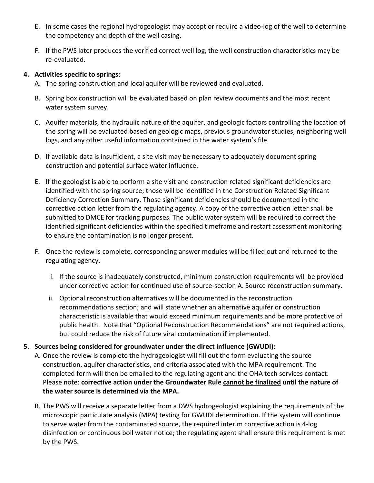- E. In some cases the regional hydrogeologist may accept or require a video-log of the well to determine the competency and depth of the well casing.
- F. If the PWS later produces the verified correct well log, the well construction characteristics may be re-evaluated.

#### **4. Activities specific to springs:**

- A. The spring construction and local aquifer will be reviewed and evaluated.
- B. Spring box construction will be evaluated based on plan review documents and the most recent water system survey.
- C. Aquifer materials, the hydraulic nature of the aquifer, and geologic factors controlling the location of the spring will be evaluated based on geologic maps, previous groundwater studies, neighboring well logs, and any other useful information contained in the water system's file.
- D. If available data is insufficient, a site visit may be necessary to adequately document spring construction and potential surface water influence.
- E. If the geologist is able to perform a site visit and construction related significant deficiencies are identified with the spring source; those will be identified in the Construction Related Significant Deficiency Correction Summary. Those significant deficiencies should be documented in the corrective action letter from the regulating agency. A copy of the corrective action letter shall be submitted to DMCE for tracking purposes. The public water system will be required to correct the identified significant deficiencies within the specified timeframe and restart assessment monitoring to ensure the contamination is no longer present.
- F. Once the review is complete, corresponding answer modules will be filled out and returned to the regulating agency.
	- i. If the source is inadequately constructed, minimum construction requirements will be provided under corrective action for continued use of source-section A. Source reconstruction summary.
	- ii. Optional reconstruction alternatives will be documented in the reconstruction recommendations section; and will state whether an alternative aquifer or construction characteristic is available that would exceed minimum requirements and be more protective of public health. Note that "Optional Reconstruction Recommendations" are not required actions, but could reduce the risk of future viral contamination if implemented.
- **5. Sources being considered for groundwater under the direct influence (GWUDI):** 
	- A. Once the review is complete the hydrogeologist will fill out the form evaluating the source construction, aquifer characteristics, and criteria associated with the MPA requirement. The completed form will then be emailed to the regulating agent and the OHA tech services contact. Please note: **corrective action under the Groundwater Rule cannot be finalized until the nature of the water source is determined via the MPA.**
	- B. The PWS will receive a separate letter from a DWS hydrogeologist explaining the requirements of the microscopic particulate analysis (MPA) testing for GWUDI determination. If the system will continue to serve water from the contaminated source, the required interim corrective action is 4-log disinfection or continuous boil water notice; the regulating agent shall ensure this requirement is met by the PWS.